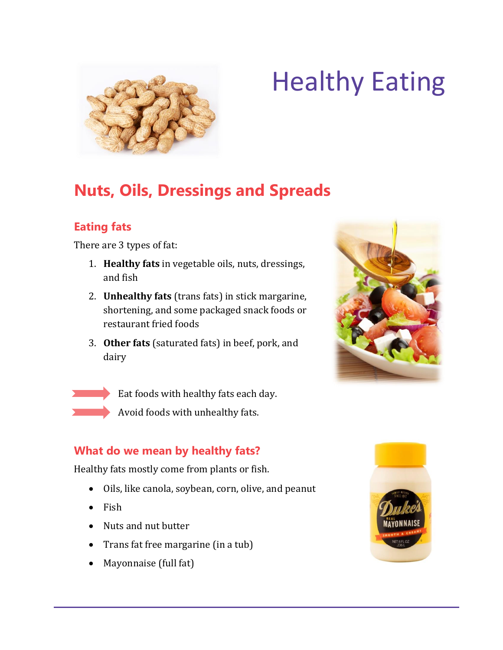

# Healthy Eating

# **Nuts, Oils, Dressings and Spreads**

## **Eating fats**

There are 3 types of fat:

- 1. **Healthy fats** in vegetable oils, nuts, dressings, and fish
- 2. **Unhealthy fats** (trans fats) in stick margarine, shortening, and some packaged snack foods or restaurant fried foods
- 3. **Other fats** (saturated fats) in beef, pork, and dairy

 Eat foods with healthy fats each day. Avoid foods with unhealthy fats.

### **What do we mean by healthy fats?**

Healthy fats mostly come from plants or fish.

- Oils, like canola, soybean, corn, olive, and peanut
- $\bullet$  Fish
- Nuts and nut butter
- Trans fat free margarine (in a tub)
- Mayonnaise (full fat)



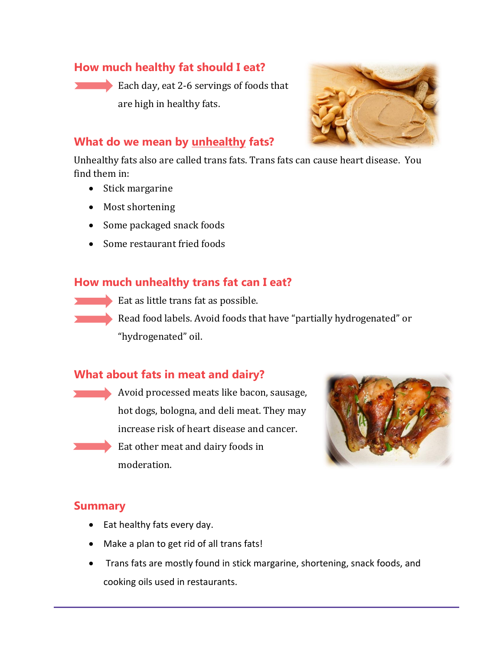#### **How much healthy fat should I eat?**

Each day, eat 2-6 servings of foods that are high in healthy fats.



#### **What do we mean by unhealthy fats?**

Unhealthy fats also are called trans fats. Trans fats can cause heart disease. You find them in:

- Stick margarine
- Most shortening
- Some packaged snack foods
- Some restaurant fried foods

#### **How much unhealthy trans fat can I eat?**

- Eat as little trans fat as possible.
- Read food labels. Avoid foods that have "partially hydrogenated" or "hydrogenated" oil.

#### **What about fats in meat and dairy?**

Avoid processed meats like bacon, sausage, hot dogs, bologna, and deli meat. They may increase risk of heart disease and cancer. Eat other meat and dairy foods in moderation.



#### **Summary**

- Eat healthy fats every day.
- Make a plan to get rid of all trans fats!
- Trans fats are mostly found in stick margarine, shortening, snack foods, and cooking oils used in restaurants.